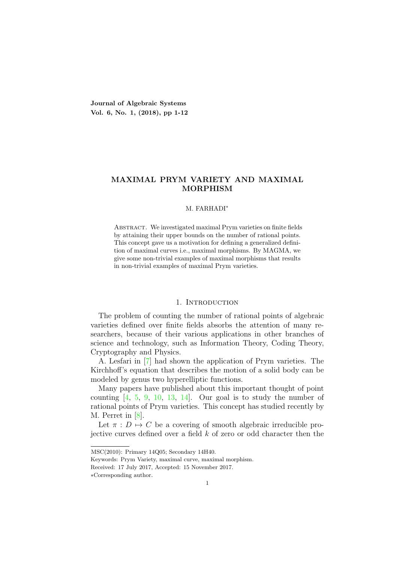**Journal of Algebraic Systems Vol. 6, No. 1, (2018), pp 1-12**

# **MAXIMAL PRYM VARIETY AND MAXIMAL MORPHISM**

## M. FARHADI*<sup>∗</sup>*

Abstract. We investigated maximal Prym varieties on finite fields by attaining their upper bounds on the number of rational points. This concept gave us a motivation for defining a generalized definition of maximal curves i.e., maximal morphisms. By MAGMA, we give some non-trivial examples of maximal morphisms that results in non-trivial examples of maximal Prym varieties.

# 1. INTRODUCTION

The problem of counting the number of rational points of algebraic varieties defined over finite fields absorbs the attention of many researchers, because of their various applications in other branches of science and technology, such as Information Theory, Coding Theory, Cryptography and Physics.

A. Lesfari in [7] had shown the application of Prym varieties. The Kirchhoff's equation that describes the motion of a solid body can be modeled by genus two hyperelliptic functions.

Many papers have published about this important thought of point counting  $\begin{bmatrix} 4, 5, 9, 10, 13, 14 \end{bmatrix}$ . Our goal is to study the number of rational points of Prym varieties. This concept has studied recently by M. Perret in [8].

Let  $\pi : D \mapsto C$  be a covering of smooth algebraic irreducible projective curves defined over a field *k* of zero or odd character then the

MSC(2010): Primary 14Q05; Secondary 14H40.

Keywords: Prym Variety, maximal curve, maximal morphism.

Received: 17 July 2017, Accepted: 15 November 2017.

*<sup>∗</sup>*Corresponding author.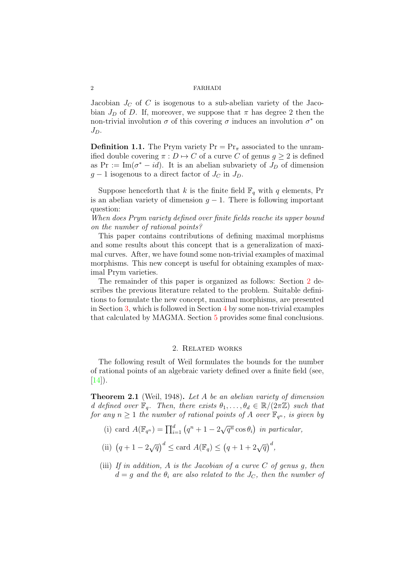Jacobian  $J_C$  of  $C$  is isogenous to a sub-abelian variety of the Jacobian  $J<sub>D</sub>$  of *D*. If, moreover, we suppose that  $\pi$  has degree 2 then the non-trivial involution  $\sigma$  of this covering  $\sigma$  induces an involution  $\sigma^*$  on *JD*.

**Definition 1.1.** The Prym variety  $Pr = Pr_{\pi}$  associated to the unramified double covering  $\pi : D \mapsto C$  of a curve *C* of genus  $g \geq 2$  is defined as Pr := Im( $\sigma^* - id$ ). It is an abelian subvariety of  $J_D$  of dimension  $g - 1$  isogenous to a direct factor of  $J_C$  in  $J_D$ .

Suppose henceforth that *k* is the finite field  $\mathbb{F}_q$  with *q* elements, Pr is an abelian variety of dimension  $g - 1$ . There is following important question:

*When does Prym variety defined over finite fields reache its upper bound on the number of rational points?*

This paper contains contributions of defining maximal morphisms and some results about this concept that is a generalization of maximal curves. After, we have found some non-trivial examples of maximal morphisms. This new concept is useful for obtaining examples of maximal Prym varieties.

The remainder of this paper is organized as follows: Section 2 describes the previous literature related to the problem. Suitable definitions to formulate the new concept, maximal morphisms, are presented in Section 3, which is followed in Section 4 by some non-trivial examples that calculated by MAGMA. Section 5 provides some final conclusions.

### 2. Related works

The following result of Weil formulates the bounds for the number of rational points of an algebraic variety defined over a finite field (see,  $[14]$ ).

**Theorem 2.1** (Weil, 1948)**.** *Let A be an abelian variety of dimension d* defined over  $\mathbb{F}_q$ . Then, there exists  $\theta_1, \ldots, \theta_d \in \mathbb{R}/(2\pi\mathbb{Z})$  such that *for any*  $n \geq 1$  *the number of rational points of A over*  $\mathbb{F}_{q^n}$ *, is given by* 

- (i) card  $A(\mathbb{F}_{q^n}) = \prod_{i=1}^d (q^n + 1 2\sqrt{q^n} \cos \theta_i)$  in particular,
- (ii)  $(q + 1 2\sqrt{q})^d \leq \text{card } A(\mathbb{F}_q) \leq (q + 1 + 2\sqrt{q})^d$ ,
- (iii) *If in addition, A is the Jacobian of a curve C of genus g, then*  $d = g$  *and the*  $\theta_i$  *are also related to the*  $J_C$ *, then the number of*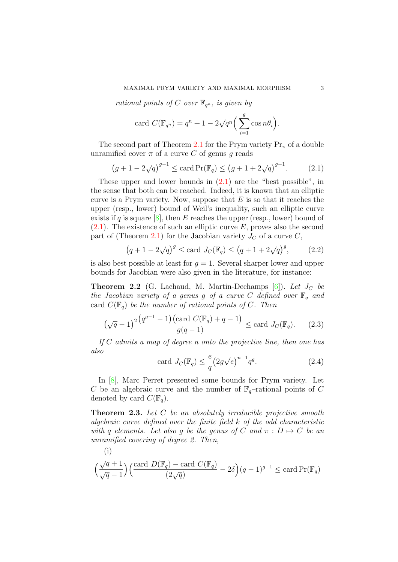*rational points of C over*  $\mathbb{F}_{q^n}$ *, is given by* 

card 
$$
C(\mathbb{F}_{q^n}) = q^n + 1 - 2\sqrt{q^n} \left( \sum_{i=1}^g \cos n\theta_i \right).
$$

The second part of Theorem 2.1 for the Prym variety  $Pr_{\pi}$  of a double unramified cover  $\pi$  of a curve C of genus g reads

$$
(g+1-2\sqrt{q})^{g-1} \le \operatorname{card} \Pr(\mathbb{F}_q) \le (g+1+2\sqrt{q})^{g-1}.
$$
 (2.1)

These upper and lower bounds in  $(2.1)$  are the "best possible", in the sense that both can be reached. Indeed, it is known that an elliptic curve is a Prym variety. Now, suppose that *E* is so that it reaches the upper (resp., lower) bound of Weil's inequality, such an elliptic curve exists if *q* is square  $[8]$ , then *E* reaches the upper (resp., lower) bound of (2.1). The existence of such an elliptic curve *E*, proves also the second part of (Theorem 2.1) for the Jacobian variety  $J_C$  of a curve  $C$ ,

$$
(q+1-2\sqrt{q})^g \le \text{card } J_C(\mathbb{F}_q) \le (q+1+2\sqrt{q})^g,
$$
 (2.2)

is also best possible at least for  $q = 1$ . Several sharper lower and upper bounds for Jacobian were also given in the literature, for instance:

**Theorem 2.2** (G. Lachaud, M. Martin-Dechamps [6])**.** *Let J<sup>C</sup> be the Jacobian variety of a genus g of a curve*  $C$  *defined over*  $\mathbb{F}_q$  *and* card  $C(\mathbb{F}_q)$  *be the number of rational points of C. Then* 

$$
(\sqrt{q}-1)^2 \frac{(q^{g-1}-1)(\text{card } C(\mathbb{F}_q) + q - 1)}{g(q-1)} \le \text{card } J_C(\mathbb{F}_q). \tag{2.3}
$$

*If C admits a map of degree n onto the projective line, then one has also*

$$
\text{card } J_C(\mathbb{F}_q) \le \frac{e}{q} \left( 2g\sqrt{e} \right)^{n-1} q^g. \tag{2.4}
$$

In [8], Marc Perret presented some bounds for Prym variety. Let *C* be an algebraic curve and the number of  $\mathbb{F}_q$ -rational points of *C* denoted by card  $C(\mathbb{F}_q)$ .

**Theorem 2.3.** *Let C be an absolutely irreducible projective smooth algebraic curve defined over the finite field k of the odd characteristic with q elements.* Let also *g be the genus of*  $C$  *and*  $\pi : D \mapsto C$  *be an unramified covering of degree 2. Then,*

(i)

$$
\Big(\frac{\sqrt{q}+1}{\sqrt{q}-1}\Big)\Big(\frac{\text{card }D(\mathbb{F}_q)-\text{card }C(\mathbb{F}_q)}{(2\sqrt{q})}-2\delta\Big)(q-1)^{g-1}\leq \text{card Pr}(\mathbb{F}_q)
$$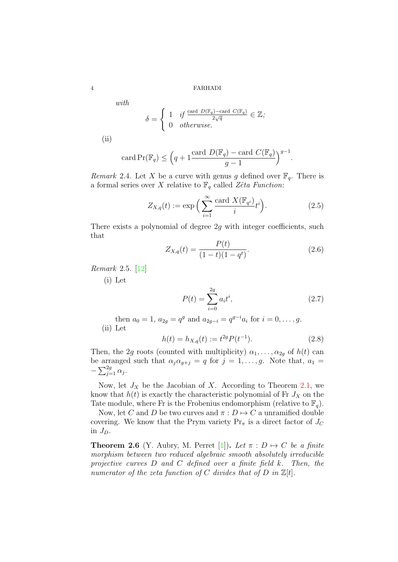*with*

$$
\delta = \begin{cases} 1 & \text{if } \frac{\text{card } D(\mathbb{F}_q) - \text{card } C(\mathbb{F}_q)}{2\sqrt{q}} \in \mathbb{Z}; \\ 0 & \text{otherwise.} \end{cases}
$$

(ii)

$$
card \Pr(\mathbb{F}_q) \le \left(q + 1 \frac{card \ D(\mathbb{F}_q) - card \ C(\mathbb{F}_q)}{g - 1}\right)^{g - 1}.
$$

*Remark* 2.4. Let *X* be a curve with genus *g* defined over  $\mathbb{F}_q$ . There is a formal series over *X* relative to  $\mathbb{F}_q$  called *Zêta Function*:

$$
Z_{X,q}(t) := \exp\Big(\sum_{i=1}^{\infty} \frac{\text{card } X(\mathbb{F}_{q^i})}{i} t^i\Big). \tag{2.5}
$$

There exists a polynomial of degree 2*g* with integer coefficients, such that

$$
Z_{X,q}(t) = \frac{P(t)}{(1-t)(1-q^t)}.\t(2.6)
$$

*Remark* 2.5*.* [12]

(i) Let

$$
P(t) = \sum_{i=0}^{2g} a_i t^i,
$$
\n(2.7)

then  $a_0 = 1$ ,  $a_{2g} = q^g$  and  $a_{2g-i} = q^{g-i}a_i$  for  $i = 0, \ldots, g$ . (ii) Let

$$
h(t) = h_{X,q}(t) := t^{2g} P(t^{-1}).
$$
\n(2.8)

Then, the 2*g* roots (counted with multiplicity)  $\alpha_1, \ldots, \alpha_{2g}$  of  $h(t)$  can be arranged such that  $\alpha_j \alpha_{g+j} = q$  for  $j = 1, \ldots, g$ . Note that,  $a_1 =$  $-\sum_{j=1}^{2g} \alpha_j$ .

Now, let  $J_X$  be the Jacobian of *X*. According to Theorem 2.1, we know that  $h(t)$  is exactly the characteristic polynomial of Fr  $J_X$  on the Tate module, where Fr is the Frobenius endomorphism (relative to  $\mathbb{F}_q$ ).

Now, let *C* and *D* be two curves and  $\pi : D \mapsto C$  a unramified double covering. We know that the Prym variety  $Pr_{\pi}$  is a direct factor of  $J_C$ in *JD*.

**Theorem 2.6** (Y. Aubry, M. Perret [1]). Let  $\pi : D \mapsto C$  be a finite *morphism between two reduced algebraic smooth absolutely irreducible projective curves D and C defined over a finite field k. Then, the numerator of the zeta function of*  $C$  *divides that of*  $D$  *in*  $\mathbb{Z}[t]$ *.*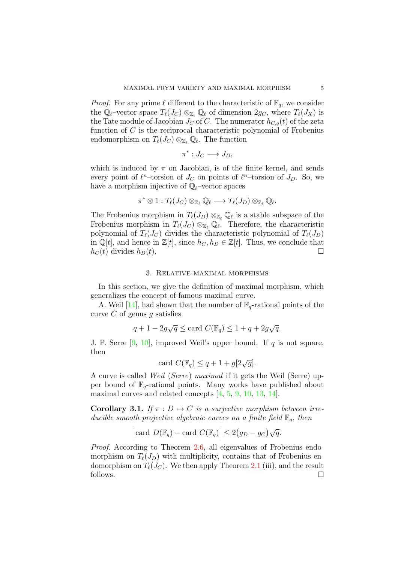*Proof.* For any prime  $\ell$  different to the characteristic of  $\mathbb{F}_q$ , we consider the  $\mathbb{Q}_{\ell}$ -vector space  $T_{\ell}(J_C) \otimes_{\mathbb{Z}_{\ell}} \mathbb{Q}_{\ell}$  of dimension  $2g_C$ , where  $T_{\ell}(J_X)$  is the Tate module of Jacobian  $J_C$  of C. The numerator  $h_{C,q}(t)$  of the zeta function of *C* is the reciprocal characteristic polynomial of Frobenius endomorphism on  $T_{\ell}(J_C) \otimes_{\mathbb{Z}_{\ell}} \mathbb{Q}_{\ell}$ . The function

$$
\pi^*: J_C \longrightarrow J_D,
$$

which is induced by  $\pi$  on Jacobian, is of the finite kernel, and sends every point of  $\ell^n$ -torsion of  $J_C$  on points of  $\ell^n$ -torsion of  $J_D$ . So, we have a morphism injective of Q*ℓ*–vector spaces

$$
\pi^* \otimes 1: T_{\ell}(J_C) \otimes_{\mathbb{Z}_{\ell}} \mathbb{Q}_{\ell} \longrightarrow T_{\ell}(J_D) \otimes_{\mathbb{Z}_{\ell}} \mathbb{Q}_{\ell}.
$$

The Frobenius morphism in  $T_{\ell}(J_D) \otimes_{\mathbb{Z}_{\ell}} \mathbb{Q}_{\ell}$  is a stable subspace of the Frobenius morphism in  $T_{\ell}(J_C) \otimes_{\mathbb{Z}_{\ell}} \mathbb{Q}_{\ell}$ . Therefore, the characteristic polynomial of  $T_{\ell}(J_C)$  divides the characteristic polynomial of  $T_{\ell}(J_D)$ in  $\mathbb{Q}[t]$ , and hence in  $\mathbb{Z}[t]$ , since  $h_C, h_D \in \mathbb{Z}[t]$ . Thus, we conclude that  $h_C(t)$  divides  $h_D(t)$ .

# 3. Relative maximal morphisms

In this section, we give the definition of maximal morphism, which generalizes the concept of famous maximal curve.

A. Weil [14], had shown that the number of  $\mathbb{F}_q$ -rational points of the curve *C* of genus *g* satisfies

$$
q + 1 - 2g\sqrt{q} \le \text{card } C(\mathbb{F}_q) \le 1 + q + 2g\sqrt{q}.
$$

J. P. Serre [9, 10], improved Weil's upper bound. If *q* is not square, then

card 
$$
C(\mathbb{F}_q) \leq q + 1 + g[2\sqrt{g}].
$$

A curve is called *Weil* (*Serre*) *maximal* if it gets the Weil (Serre) upper bound of  $\mathbb{F}_q$ -rational points. Many works have published about maximal curves and related concepts [4, 5, 9, 10, 13, 14].

**Corollary 3.1.** *If*  $\pi$  :  $D \mapsto C$  *is a surjective morphism between irreducible smooth projective algebraic curves on a finite field* F*q, then*

$$
|\text{card } D(\mathbb{F}_q) - \text{card } C(\mathbb{F}_q)| \leq 2(g_D - g_C)\sqrt{q}.
$$

*Proof.* According to Theorem 2.6, all eigenvalues of Frobenius endomorphism on  $T_{\ell}(J_D)$  with multiplicity, contains that of Frobenius endomorphism on  $T_{\ell}(J_C)$ . We then apply Theorem 2.1 (iii), and the result follows.  $\Box$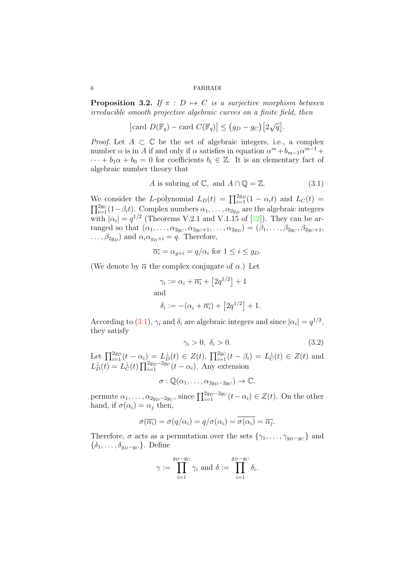**Proposition 3.2.** *If*  $\pi$  :  $D \mapsto C$  *is a surjective morphism between irreducible smooth projective algebraic curves on a finite field, then*

$$
|\text{card } D(\mathbb{F}_q) - \text{card } C(\mathbb{F}_q)| \leq (g_D - g_C) [2\sqrt{q}].
$$

*Proof.* Let  $A \subset \mathbb{C}$  be the set of algebraic integers, i.e., a complex number  $\alpha$  is in *A* if and only if  $\alpha$  satisfies in equation  $\alpha^m + b_{m-1}\alpha^{m-1} +$  $\cdots + b_1 \alpha + b_0 = 0$  for coefficients  $b_i \in \mathbb{Z}$ . It is an elementary fact of algebraic number theory that

$$
A \text{ is subring of } \mathbb{C}, \text{ and } A \cap \mathbb{Q} = \mathbb{Z}. \tag{3.1}
$$

We consider the *L*-polynomial  $L_D(t) = \prod_{i=1}^{2g_D} (1 - \alpha_i t)$  and  $L_C(t) =$  $\prod_{i=1}^{2g} (1 - \beta_i t)$ . Complex numbers  $\alpha_1, \ldots, \alpha_{2g}$  are the algebraic integers with  $|\alpha_i| = q^{1/2}$  (Theorems V.2.1 and V.1.15 of [12]). They can be arranged so that  $(\alpha_1, \ldots, \alpha_{2g_C}, \alpha_{2g_C+1}, \ldots, \alpha_{2g_D}) = (\beta_1, \ldots, \beta_{2g_C}, \beta_{2g_C+1},$  $\ldots$ ,  $\beta_{2g_D}$  and  $\alpha_i \alpha_{g_D+i} = q$ . Therefore,

$$
\overline{\alpha_i} = \alpha_{g+i} = q/\alpha_i \text{ for } 1 \le i \le g_D.
$$

(We denote by  $\bar{\alpha}$  the complex conjugate of  $\alpha$ .) Let

$$
\gamma_i := \alpha_i + \overline{\alpha_i} + [2q^{1/2}] + 1
$$
  
and  

$$
\delta_i := -(\alpha_i + \overline{\alpha_i}) + [2q^{1/2}] + 1.
$$

According to (3.1),  $\gamma_i$  and  $\delta_i$  are algebraic integers and since  $|\alpha_i| = q^{1/2}$ , they satisfy

$$
\gamma_i > 0, \ \delta_i > 0. \tag{3.2}
$$

Let  $\prod_{i=1}^{2g_D} (t - \alpha_i) = L_D^{\perp}(t) \in Z(t)$ ,  $\prod_{i=1}^{2g_C} (t - \beta_i) = L_C^{\perp}(t) \in Z(t)$  and  $L_D^{\perp}(t) = L_C^{\perp}(t) \prod_{i=1}^{2g_D - 2g_C} (t - \alpha_i)$ . Any extension

 $\sigma : \mathbb{Q}(\alpha_1, \ldots, \alpha_{2g_D-2g_C}) \to \mathbb{C},$ 

permute  $\alpha_1, \ldots, \alpha_{2g_D-2g_C}$ , since  $\prod_{i=1}^{2g_D-2g_C}(t-\alpha_i) \in Z(t)$ . On the other hand, if  $\sigma(\alpha_i) = \alpha_i$  then,

$$
\sigma(\overline{\alpha_i}) = \sigma(q/\alpha_i) = q/\sigma(\alpha_i) = \overline{\sigma(\alpha_i)} = \overline{\alpha_j}.
$$

Therefore,  $\sigma$  acts as a permutation over the sets  $\{\gamma_1, \ldots, \gamma_{g_D-g_C}\}\$  and  ${\lbrace \delta_1, \ldots, \delta_{g_D - g_C} \rbrace}$ . Define

$$
\gamma := \prod_{i=1}^{g_D - g_C} \gamma_i \text{ and } \delta := \prod_{i=1}^{g_D - g_C} \delta_i.
$$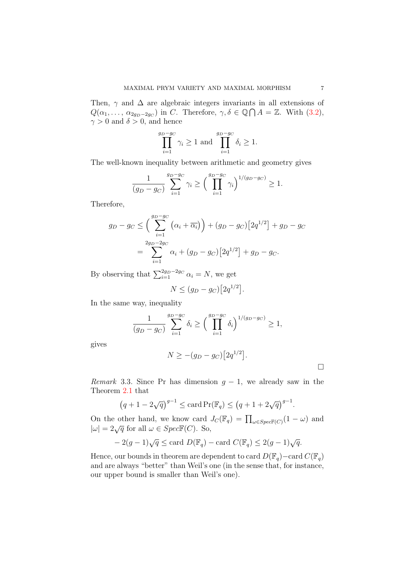Then,  $\gamma$  and  $\Delta$  are algebraic integers invariants in all extensions of  $Q(\alpha_1, \ldots, \alpha_{2g_D-2g_C})$  in *C*. Therefore,  $\gamma, \delta \in \mathbb{Q} \cap A = \mathbb{Z}$ . With (3.2),  $\gamma > 0$  and  $\delta > 0$ , and hence

$$
\prod_{i=1}^{g_D - g_C} \gamma_i \ge 1 \text{ and } \prod_{i=1}^{g_D - g_C} \delta_i \ge 1.
$$

The well-known inequality between arithmetic and geometry gives

$$
\frac{1}{(g_D - g_C)} \sum_{i=1}^{g_D - g_C} \gamma_i \ge \left(\prod_{i=1}^{g_D - g_C} \gamma_i\right)^{1/(g_D - g_C)} \ge 1.
$$

Therefore,

$$
g_D - g_C \le \left(\sum_{i=1}^{g_D - g_C} \left(\alpha_i + \overline{\alpha_i}\right)\right) + (g_D - g_C) \left[2q^{1/2}\right] + g_D - g_C
$$
  
= 
$$
\sum_{i=1}^{2g_D - 2g_C} \alpha_i + (g_D - g_C) \left[2q^{1/2}\right] + g_D - g_C.
$$

By observing that  $\sum_{i=1}^{2g_D-2g_C} \alpha_i = N$ , we get

$$
N \le (g_D - g_C) \big[ 2q^{1/2} \big].
$$

In the same way, inequality

$$
\frac{1}{(g_D - g_C)} \sum_{i=1}^{g_D - g_C} \delta_i \ge \left(\prod_{i=1}^{g_D - g_C} \delta_i\right)^{1/(g_D - g_C)} \ge 1,
$$

gives

$$
N \geq -(g_D - g_C) [2q^{1/2}].
$$

*Remark* 3.3. Since Pr has dimension  $g - 1$ , we already saw in the Theorem 2.1 that

$$
(q + 1 - 2\sqrt{q})^{g-1} \leq \text{card} \Pr(\mathbb{F}_q) \leq (q + 1 + 2\sqrt{q})^{g-1}.
$$

On the other hand, we know card  $J_C(\mathbb{F}_q) = \prod_{\omega \in Spec(\mathbb{F}(C)} (1 - \omega)$  and  $|\omega| = 2\sqrt{q}$  for all  $\omega \in SpecF(C)$ . So,

$$
-2(g-1)\sqrt{q} \le \text{card } D(\mathbb{F}_q) - \text{card } C(\mathbb{F}_q) \le 2(g-1)\sqrt{q}.
$$

Hence, our bounds in theorem are dependent to card  $D(\mathbb{F}_q)$ –card  $C(\mathbb{F}_q)$ and are always "better" than Weil's one (in the sense that, for instance, our upper bound is smaller than Weil's one).

 $\Box$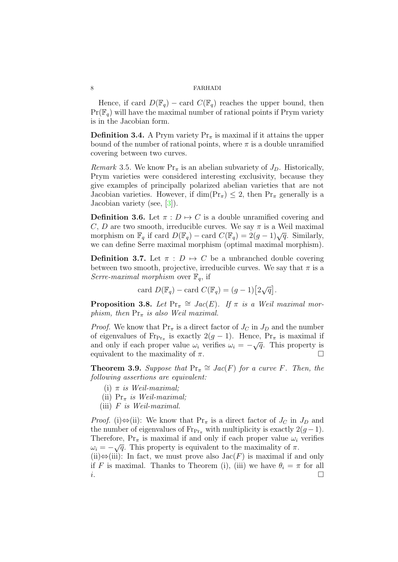Hence, if card  $D(\mathbb{F}_q)$  – card  $C(\mathbb{F}_q)$  reaches the upper bound, then  $Pr(\mathbb{F}_q)$  will have the maximal number of rational points if Prym variety is in the Jacobian form.

**Definition 3.4.** A Prym variety  $Pr_\pi$  is maximal if it attains the upper bound of the number of rational points, where  $\pi$  is a double unramified covering between two curves.

*Remark* 3.5. We know  $Pr_\pi$  is an abelian subvariety of  $J_D$ . Historically, Prym varieties were considered interesting exclusivity, because they give examples of principally polarized abelian varieties that are not Jacobian varieties. However, if  $\dim(\mathrm{Pr}_{\pi}) \leq 2$ , then  $\mathrm{Pr}_{\pi}$  generally is a Jacobian variety (see, [3]).

**Definition 3.6.** Let  $\pi$  :  $D \mapsto C$  is a double unramified covering and *C*, *D* are two smooth, irreducible curves. We say  $\pi$  is a Weil maximal morphism on  $\mathbb{F}_q$  if card  $D(\mathbb{F}_q) - \text{card } C(\mathbb{F}_q) = 2(g-1)\sqrt{q}$ . Similarly, we can define Serre maximal morphism (optimal maximal morphism).

**Definition 3.7.** Let  $\pi$  :  $D \mapsto C$  be a unbranched double covering between two smooth, projective, irreducible curves. We say that  $\pi$  is a *Serre-maximal morphism* over  $\mathbb{F}_q$ , if

card 
$$
D(\mathbb{F}_q)
$$
 – card  $C(\mathbb{F}_q) = (g-1)[2\sqrt{q}]$ .

**Proposition 3.8.** Let  $Pr_{\pi} \cong Jac(E)$ . If  $\pi$  is a Weil maximal mor*phism, then* Pr*<sup>π</sup> is also Weil maximal.*

*Proof.* We know that  $Pr_\pi$  is a direct factor of  $J_C$  in  $J_D$  and the number of eigenvalues of  $\text{Fr}_{\text{Pr}_{\pi}}$  is exactly  $2(g-1)$ . Hence,  $\text{Pr}_{\pi}$  is maximal if and only if each proper value  $\omega_i$  verifies  $\omega_i = -\sqrt{q}$ . This property is equivalent to the maximality of  $\pi$ .

**Theorem 3.9.** *Suppose that*  $Pr_{\pi} \cong Jac(F)$  *for a curve F. Then, the following assertions are equivalent:*

- (i) *π is Weil-maximal;*
- (ii) Pr*<sup>π</sup> is Weil-maximal;*
- (iii) *F is Weil-maximal.*

*Proof.* (i) $\Leftrightarrow$ (ii): We know that Pr<sub>*π*</sub> is a direct factor of *J<sub>C</sub>* in *J<sub>D</sub>* and the number of eigenvalues of  $\text{Fr}_{P_{\text{Tr}_{\pi}}}$  with multiplicity is exactly  $2(g-1)$ . Therefore,  $Pr_{\pi}$  is maximal if and only if each proper value  $\omega_i$  verifies *u*<sub>*i*</sub> =  $-\sqrt{q}$ . This property is equivalent to the maximality of *π*. (ii)*⇔*(iii): In fact, we must prove also Jac(*F*) is maximal if and only

if *F* is maximal. Thanks to Theorem (i), (iii) we have  $\theta_i = \pi$  for all *i*.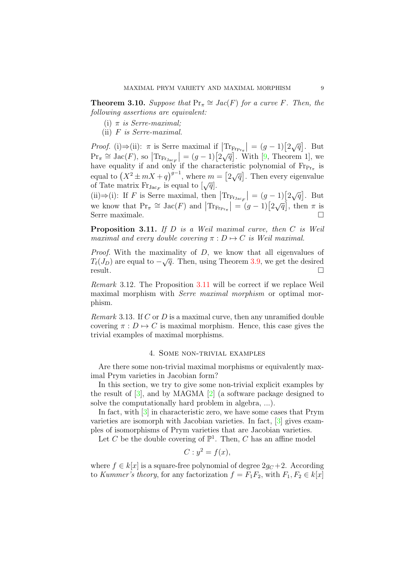**Theorem 3.10.** *Suppose that*  $Pr_{\pi} \cong Jac(F)$  *for a curve F. Then, the following assertions are equivalent:*

- (i) *π is Serre-maximal;*
- (ii) *F is Serre-maximal.*

*Proof.* (i) $\Rightarrow$ (ii):  $\pi$  is Serre maximal if  $|\text{Tr}_{\text{Frr}_{\pi}}| = (g-1)[2\sqrt{q}]$ . But  $\Pr_{\pi} \cong \text{Jac}(F)$ , so  $|\text{Tr}_{\text{Fr}_{\text{Jac}F}}| = (g-1)[2\sqrt{q}]$ . With [9, Theorem 1], we have equality if and only if the characteristic polynomial of  $Fr_{Pr_{\pi}}$  is equal to  $(X^2 \pm mX + q)^{g-1}$ , where  $m = \lceil 2\sqrt{q} \rceil$ . Then every eigenvalue of Tate matrix  $F_{T, JacF}$  is equal to  $[\sqrt{q}]$ .

(ii)⇒(i): If *F* is Serre maximal, then  $|\text{Tr}_{\text{F}_\text{Jac}_F}| = (g-1)[2\sqrt{q}]$ . But we know that  $\Pr_{\pi} \cong \text{Jac}(F)$  and  $|\text{Tr}_{\text{Fr}_{\text{Pr}_{\pi}}} | = (g-1)[2\sqrt{q}]$ , then  $\pi$  is Serre maximale.

**Proposition 3.11.** *If D is a Weil maximal curve, then C is Weil maximal and every double covering*  $\pi : D \mapsto C$  *is Weil maximal.* 

*Proof.* With the maximality of *D*, we know that all eigenvalues of *T*<sup>*v*</sup>(*J<sub>D</sub>*) are equal to *−* $\sqrt{q}$ . Then, using Theorem 3.9, we get the desired result.  $\Box$ 

*Remark* 3.12*.* The Proposition 3.11 will be correct if we replace Weil maximal morphism with *Serre maximal morphism* or optimal morphism.

*Remark* 3.13*.* If *C* or *D* is a maximal curve, then any unramified double covering  $\pi : D \mapsto C$  is maximal morphism. Hence, this case gives the trivial examples of maximal morphisms.

## 4. Some non-trivial examples

Are there some non-trivial maximal morphisms or equivalently maximal Prym varieties in Jacobian form?

In this section, we try to give some non-trivial explicit examples by the result of [3], and by MAGMA [2] (a software package designed to solve the computationally hard problem in algebra, ...).

In fact, with [3] in characteristic zero, we have some cases that Prym varieties are isomorph with Jacobian varieties. In fact, [3] gives examples of isomorphisms of Prym varieties that are Jacobian varieties.

Let *C* be the double covering of  $\mathbb{P}^1$ . Then, *C* has an affine model

$$
C: y^2 = f(x),
$$

where  $f \in k[x]$  is a square-free polynomial of degree  $2q_C + 2$ . According to *Kummer's theory*, for any factorization  $f = F_1F_2$ , with  $F_1, F_2 \in k[x]$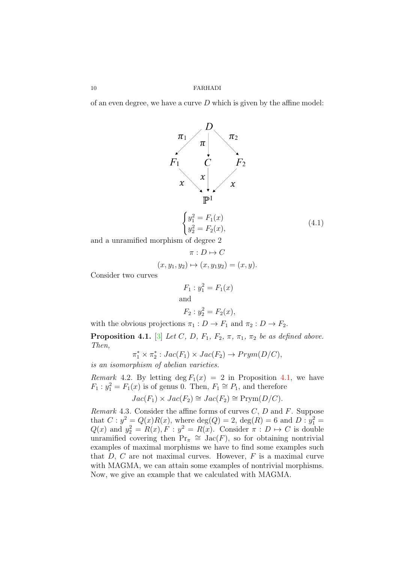of an even degree, we have a curve *D* which is given by the affine model:



and a unramified morphism of degree 2

$$
\pi: D \mapsto C
$$

$$
(x, y_1, y_2) \mapsto (x, y_1y_2) = (x, y).
$$

Consider two curves

$$
F_1: y_1^2 = F_1(x)
$$
  
and  
 $F_2: y_2^2 = F_2(x)$ ,

with the obvious projections  $\pi_1 : D \to F_1$  and  $\pi_2 : D \to F_2$ .

**Proposition 4.1.** [3] *Let C, D,*  $F_1$ *,*  $F_2$ *,*  $\pi$ *,*  $\pi_1$ *,*  $\pi_2$  *be as defined above. Then,*

$$
\pi_1^* \times \pi_2^* : Jac(F_1) \times Jac(F_2) \to Prym(D/C),
$$

*is an isomorphism of abelian varieties.*

*Remark* 4.2. By letting deg  $F_1(x) = 2$  in Proposition 4.1, we have  $F_1: y_1^2 = F_1(x)$  is of genus 0. Then,  $F_1 \cong P_1$ , and therefore

$$
Jac(F_1) \times Jac(F_2) \cong Jac(F_2) \cong \text{Prym}(D/C).
$$

*Remark* 4.3*.* Consider the affine forms of curves *C*, *D* and *F*. Suppose that  $C: y^2 = Q(x)R(x)$ , where  $deg(Q) = 2$ ,  $deg(R) = 6$  and  $D: y_1^2 =$  $Q(x)$  and  $y_2^2 = R(x), F : y^2 = R(x)$ . Consider  $\pi : D \mapsto C$  is double unramified covering then  $Pr_{\pi} \cong Jac(F)$ , so for obtaining nontrivial examples of maximal morphisms we have to find some examples such that *D*, *C* are not maximal curves. However, *F* is a maximal curve with MAGMA, we can attain some examples of nontrivial morphisms. Now, we give an example that we calculated with MAGMA.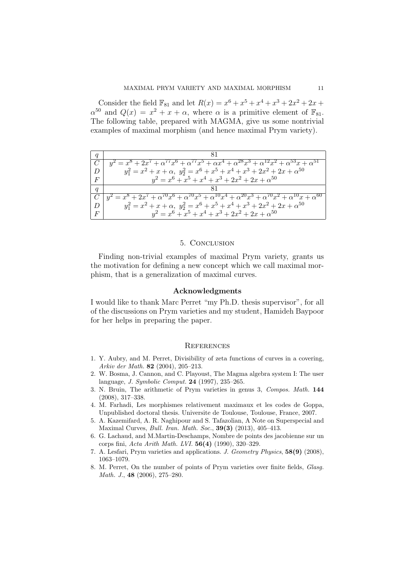Consider the field  $\mathbb{F}_{81}$  and let  $R(x) = x^6 + x^5 + x^4 + x^3 + 2x^2 + 2x +$  $\alpha^{50}$  and  $Q(x) = x^2 + x + \alpha$ , where  $\alpha$  is a primitive element of  $\mathbb{F}_{81}$ . The following table, prepared with MAGMA, give us some nontrivial examples of maximal morphism (and hence maximal Prym variety).

|                  | $y^2 = x^8 + 2x^7 + \alpha^{77}x^6 + \alpha^{77}x^5 + \alpha x^4 + \alpha^{28}x^3 + \alpha^{12}x^2 + \alpha^{53}x + \alpha^{51}$     |
|------------------|--------------------------------------------------------------------------------------------------------------------------------------|
| D                | $y_1^2 = x^2 + x + \alpha$ , $y_2^2 = x^6 + x^5 + x^4 + x^3 + 2x^2 + 2x + \alpha^{50}$                                               |
| $\,F$            | $y^2 = x^6 + x^5 + x^4 + x^3 + 2x^2 + 2x + \alpha^{50}$                                                                              |
| $\boldsymbol{q}$ |                                                                                                                                      |
|                  | $y^2 = x^8 + 2x^7 + \alpha^{70}x^6 + \alpha^{70}x^5 + \alpha^{10}x^4 + \alpha^{20}x^3 + \alpha^{70}x^2 + \alpha^{10}x + \alpha^{60}$ |
| D                | $y_1^2 = x^2 + x + \alpha$ , $y_2^2 = x^6 + x^5 + x^4 + x^3 + 2x^2 + 2x + \alpha^{50}$                                               |
| $\overline{F}$   | $y^2 = x^6 + x^5 + x^4 + x^3 + 2x^2 + 2x + \alpha^{50}$                                                                              |

#### 5. Conclusion

Finding non-trivial examples of maximal Prym variety, grants us the motivation for defining a new concept which we call maximal morphism, that is a generalization of maximal curves.

### **Acknowledgments**

I would like to thank Marc Perret "my Ph.D. thesis supervisor", for all of the discussions on Prym varieties and my student, Hamideh Baypoor for her helps in preparing the paper.

#### **REFERENCES**

- 1. Y. Aubry, and M. Perret, Divisibility of zeta functions of curves in a covering, *Arkiv der Math.* **82** (2004), 205–213.
- 2. W. Bosma, J. Cannon, and C. Playoust, The Magma algebra system I: The user language, *J. Symbolic Comput.* **24** (1997), 235–265.
- 3. N. Bruin, The arithmetic of Prym varieties in genus 3, *Compos. Math.* **144** (2008), 317–338.
- 4. M. Farhadi, Les morphismes relativement maximaux et les codes de Goppa, Unpublished doctoral thesis. Universite de Toulouse, Toulouse, France, 2007.
- 5. A. Kazemifard, A. R. Naghipour and S. Tafazolian, A Note on Superspecial and Maximal Curves, *Bull. Iran. Math. Soc.*, **39(3)** (2013), 405–413.
- 6. G. Lachaud, and M.Martin-Deschamps, Nombre de points des jacobienne sur un corps fini, *Acta Arith Math. LVI.* **56(4)** (1990), 320–329.
- 7. A. Lesfari, Prym varieties and applications. *J. Geometry Physics*, **58(9)** (2008), 1063–1079.
- 8. M. Perret, On the number of points of Prym varieties over finite fields, *Glasg. Math. J.*, **48** (2006), 275–280.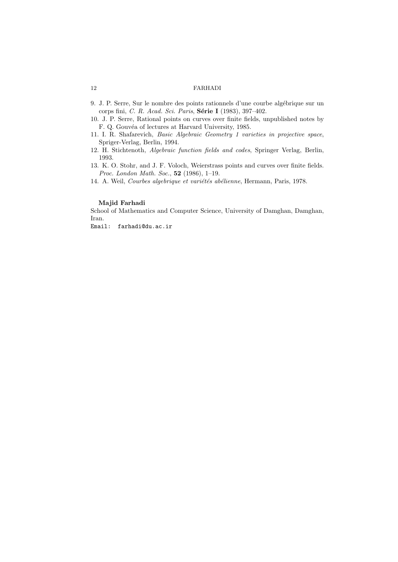- 9. J. P. Serre, Sur le nombre des points rationnels d'une courbe algébrique sur un corps fini, *C. R. Acad. Sci. Paris*, **S´erie I** (1983), 397–402.
- 10. J. P. Serre, Rational points on curves over finite fields, unpublished notes by F. Q. Gouvéa of lectures at Harvard University, 1985.
- 11. I. R. Shafarevich, *Basic Algebraic Geometry 1 varieties in projective space*, Spriger-Verlag, Berlin, 1994.
- 12. H. Stichtenoth, *Algebraic function fields and codes*, Springer Verlag, Berlin, 1993.
- 13. K. O. Stohr, and J. F. Voloch, Weierstrass points and curves over finite fields. *Proc. London Math. Soc.*, **52** (1986), 1–19.
- 14. A. Weil, *Courbes algebrique et variétés abélienne*, Hermann, Paris, 1978.

### **Majid Farhadi**

School of Mathematics and Computer Science, University of Damghan, Damghan, Iran.

Email: farhadi@du.ac.ir